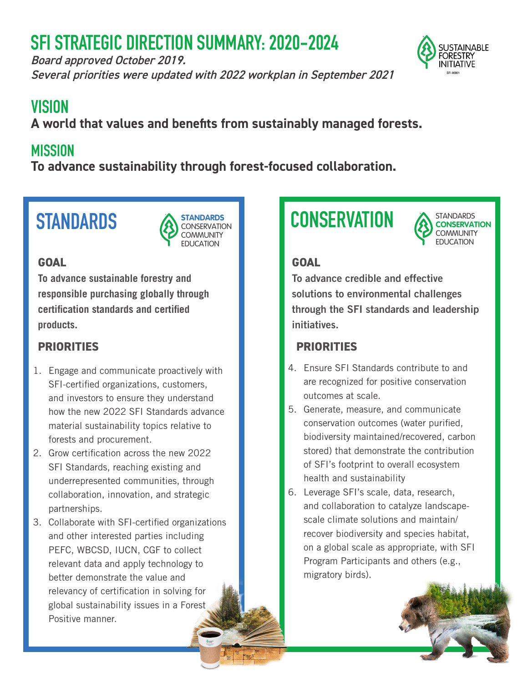# **SFI STRATEGIC DIRECTION SUMMARY: 2020-2024**

Board approved October 2019. Several priorities were updated with 2022 workplan in September 2021



# **VISION**

**A world that values and benefits from sustainably managed forests.** 

## **MISSION**

**To advance sustainability through forest-focused collaboration.**

# **STANDARDS**



### **GOAL**

**To advance sustainable forestry and responsible purchasing globally through certification standards and certified products.**

### **PRIORITIES**

- 1. Engage and communicate proactively with SFI-certified organizations, customers, and investors to ensure they understand how the new 2022 SFI Standards advance material sustainability topics relative to forests and procurement.
- 2. Grow certification across the new 2022 SFI Standards, reaching existing and underrepresented communities, through collaboration, innovation, and strategic partnerships.
- 3. Collaborate with SFI-certified organizations and other interested parties including PEFC, WBCSD, IUCN, CGF to collect relevant data and apply technology to better demonstrate the value and relevancy of certification in solving for global sustainability issues in a Forest Positive manner.

# **CONSERVATION**



### **GOAL**

To advance credible and effective solutions to environmental challenges through the SFI standards and leadership initiatives.

### **PRIORITIES**

- 4. Ensure SFI Standards contribute to and are recognized for positive conservation outcomes at scale.
- 5. Generate, measure, and communicate conservation outcomes (water purified, biodiversity maintained/recovered, carbon stored) that demonstrate the contribution of SFI's footprint to overall ecosystem health and sustainability
- 6. Leverage SFI's scale, data, research, and collaboration to catalyze landscapescale climate solutions and maintain/ recover biodiversity and species habitat, on a global scale as appropriate, with SFI Program Participants and others (e.g., migratory birds).